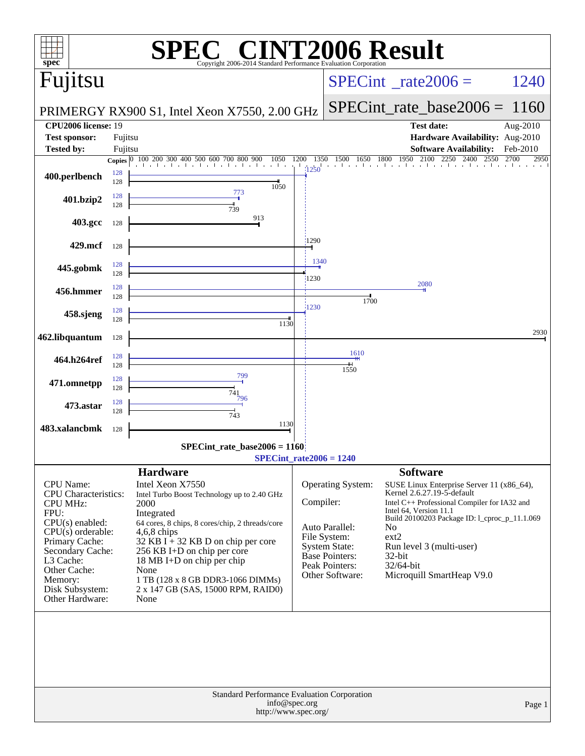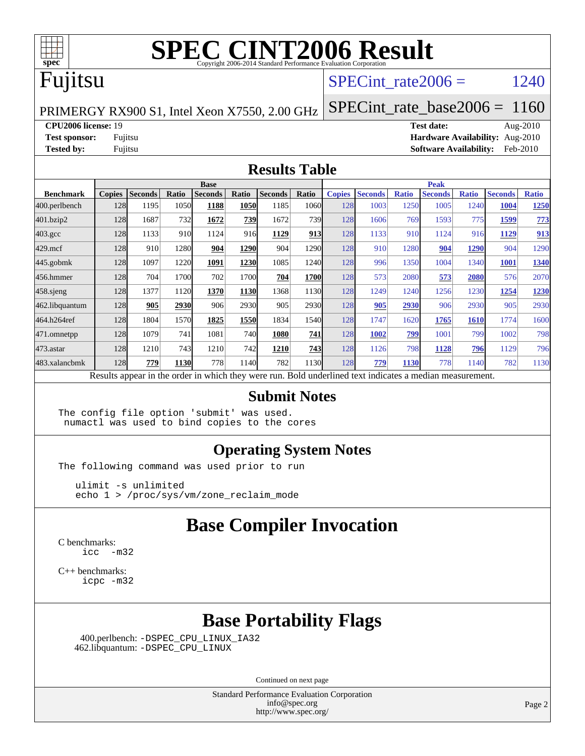

## Fujitsu

#### SPECint rate $2006 = 1240$

PRIMERGY RX900 S1, Intel Xeon X7550, 2.00 GHz

[SPECint\\_rate\\_base2006 =](http://www.spec.org/auto/cpu2006/Docs/result-fields.html#SPECintratebase2006) 1160

**[CPU2006 license:](http://www.spec.org/auto/cpu2006/Docs/result-fields.html#CPU2006license)** 19 **[Test date:](http://www.spec.org/auto/cpu2006/Docs/result-fields.html#Testdate)** Aug-2010 **[Test sponsor:](http://www.spec.org/auto/cpu2006/Docs/result-fields.html#Testsponsor)** Fujitsu **[Hardware Availability:](http://www.spec.org/auto/cpu2006/Docs/result-fields.html#HardwareAvailability)** Aug-2010 **[Tested by:](http://www.spec.org/auto/cpu2006/Docs/result-fields.html#Testedby)** Fujitsu **[Software Availability:](http://www.spec.org/auto/cpu2006/Docs/result-fields.html#SoftwareAvailability)** Feb-2010

#### **[Results Table](http://www.spec.org/auto/cpu2006/Docs/result-fields.html#ResultsTable)**

|                    | <b>Base</b>   |                |       |                                                                                                          |       |                |       | <b>Peak</b>   |                |              |                |              |                |              |
|--------------------|---------------|----------------|-------|----------------------------------------------------------------------------------------------------------|-------|----------------|-------|---------------|----------------|--------------|----------------|--------------|----------------|--------------|
| <b>Benchmark</b>   | <b>Copies</b> | <b>Seconds</b> | Ratio | <b>Seconds</b>                                                                                           | Ratio | <b>Seconds</b> | Ratio | <b>Copies</b> | <b>Seconds</b> | <b>Ratio</b> | <b>Seconds</b> | <b>Ratio</b> | <b>Seconds</b> | <b>Ratio</b> |
| 400.perlbench      | 128           | 1195           | 1050  | 1188                                                                                                     | 1050  | 1185           | 1060  | 128           | 1003           | 1250         | 1005           | 1240         | 1004           | 1250         |
| 401.bzip2          | 128           | 1687           | 732   | 1672                                                                                                     | 739   | 1672           | 739   | 128           | 1606           | 769          | 1593           | 775          | 1599           | <b>773</b>   |
| $403.\mathrm{gcc}$ | 128           | 1133           | 910   | 1124                                                                                                     | 916   | 1129           | 913   | 128           | 1133           | 910          | 1124           | 916          | 1129           | 913          |
| $429$ .mcf         | 128           | 910            | 1280  | 904                                                                                                      | 1290  | 904            | 1290  | 128           | 910            | 1280         | 904            | 1290         | 904            | 1290         |
| $445$ .gobmk       | 128           | 1097           | 1220  | 1091                                                                                                     | 1230  | 1085           | 1240  | 128           | 996            | 1350         | 1004           | 1340         | <b>1001</b>    | 1340         |
| 456.hmmer          | 128           | 704            | 1700  | 702                                                                                                      | 1700  | 704            | 1700  | 128           | 573            | 2080         | 573            | 2080         | 576            | 2070         |
| $458$ sjeng        | 128           | 1377           | 1120  | 1370                                                                                                     | 1130  | 1368           | 1130  | 128           | 1249           | 1240         | 1256           | 1230         | 1254           | 1230         |
| 462.libquantum     | 128           | 905            | 2930  | 906                                                                                                      | 2930  | 905            | 2930  | 128           | 905            | 2930         | 906            | 2930         | 905            | 2930         |
| 464.h264ref        | 128           | 1804           | 1570  | 1825                                                                                                     | 1550  | 1834           | 1540  | 128           | 1747           | 1620         | 1765           | <b>1610</b>  | 1774           | 1600         |
| 471.omnetpp        | 128           | 1079           | 741   | 1081                                                                                                     | 740   | 1080           | 741   | 128           | 1002           | 799          | 1001           | 799          | 1002           | 798          |
| $473$ . astar      | 128           | 1210           | 743   | 1210                                                                                                     | 742   | 1210           | 743   | 128           | 1126           | 798          | 1128           | 796          | 1129           | 796          |
| 483.xalancbmk      | 128           | 779            | 1130  | 778                                                                                                      | 1140  | 782            | 1130  | 128           | 779            | <b>1130</b>  | 778            | 1140         | 782            | 1130         |
|                    |               |                |       | Results appear in the order in which they were run. Bold underlined text indicates a median measurement. |       |                |       |               |                |              |                |              |                |              |

#### **[Submit Notes](http://www.spec.org/auto/cpu2006/Docs/result-fields.html#SubmitNotes)**

The config file option 'submit' was used. numactl was used to bind copies to the cores

#### **[Operating System Notes](http://www.spec.org/auto/cpu2006/Docs/result-fields.html#OperatingSystemNotes)**

The following command was used prior to run

 ulimit -s unlimited echo 1 > /proc/sys/vm/zone\_reclaim\_mode

#### **[Base Compiler Invocation](http://www.spec.org/auto/cpu2006/Docs/result-fields.html#BaseCompilerInvocation)**

[C benchmarks](http://www.spec.org/auto/cpu2006/Docs/result-fields.html#Cbenchmarks): [icc -m32](http://www.spec.org/cpu2006/results/res2010q3/cpu2006-20100816-12920.flags.html#user_CCbase_intel_icc_32bit_5ff4a39e364c98233615fdd38438c6f2)

[C++ benchmarks:](http://www.spec.org/auto/cpu2006/Docs/result-fields.html#CXXbenchmarks) [icpc -m32](http://www.spec.org/cpu2006/results/res2010q3/cpu2006-20100816-12920.flags.html#user_CXXbase_intel_icpc_32bit_4e5a5ef1a53fd332b3c49e69c3330699)

#### **[Base Portability Flags](http://www.spec.org/auto/cpu2006/Docs/result-fields.html#BasePortabilityFlags)**

 400.perlbench: [-DSPEC\\_CPU\\_LINUX\\_IA32](http://www.spec.org/cpu2006/results/res2010q3/cpu2006-20100816-12920.flags.html#b400.perlbench_baseCPORTABILITY_DSPEC_CPU_LINUX_IA32) 462.libquantum: [-DSPEC\\_CPU\\_LINUX](http://www.spec.org/cpu2006/results/res2010q3/cpu2006-20100816-12920.flags.html#b462.libquantum_baseCPORTABILITY_DSPEC_CPU_LINUX)

Continued on next page

Standard Performance Evaluation Corporation [info@spec.org](mailto:info@spec.org) <http://www.spec.org/>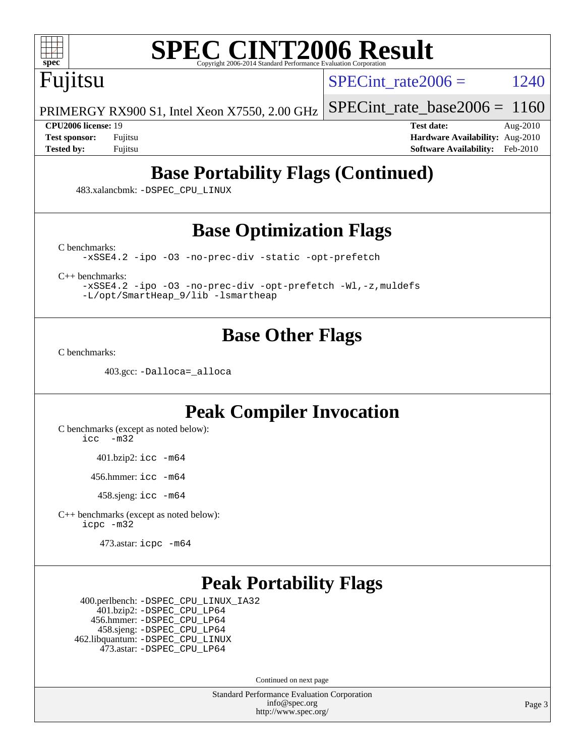

## Fujitsu

SPECint rate  $2006 = 1240$ 

PRIMERGY RX900 S1, Intel Xeon X7550, 2.00 GHz [SPECint\\_rate\\_base2006 =](http://www.spec.org/auto/cpu2006/Docs/result-fields.html#SPECintratebase2006) 1160

**[CPU2006 license:](http://www.spec.org/auto/cpu2006/Docs/result-fields.html#CPU2006license)** 19 **[Test date:](http://www.spec.org/auto/cpu2006/Docs/result-fields.html#Testdate)** Aug-2010 **[Test sponsor:](http://www.spec.org/auto/cpu2006/Docs/result-fields.html#Testsponsor)** Fujitsu **[Hardware Availability:](http://www.spec.org/auto/cpu2006/Docs/result-fields.html#HardwareAvailability)** Aug-2010 **[Tested by:](http://www.spec.org/auto/cpu2006/Docs/result-fields.html#Testedby)** Fujitsu **[Software Availability:](http://www.spec.org/auto/cpu2006/Docs/result-fields.html#SoftwareAvailability)** Feb-2010

### **[Base Portability Flags \(Continued\)](http://www.spec.org/auto/cpu2006/Docs/result-fields.html#BasePortabilityFlags)**

483.xalancbmk: [-DSPEC\\_CPU\\_LINUX](http://www.spec.org/cpu2006/results/res2010q3/cpu2006-20100816-12920.flags.html#b483.xalancbmk_baseCXXPORTABILITY_DSPEC_CPU_LINUX)

### **[Base Optimization Flags](http://www.spec.org/auto/cpu2006/Docs/result-fields.html#BaseOptimizationFlags)**

[C benchmarks](http://www.spec.org/auto/cpu2006/Docs/result-fields.html#Cbenchmarks):

[-xSSE4.2](http://www.spec.org/cpu2006/results/res2010q3/cpu2006-20100816-12920.flags.html#user_CCbase_f-xSSE42_f91528193cf0b216347adb8b939d4107) [-ipo](http://www.spec.org/cpu2006/results/res2010q3/cpu2006-20100816-12920.flags.html#user_CCbase_f-ipo) [-O3](http://www.spec.org/cpu2006/results/res2010q3/cpu2006-20100816-12920.flags.html#user_CCbase_f-O3) [-no-prec-div](http://www.spec.org/cpu2006/results/res2010q3/cpu2006-20100816-12920.flags.html#user_CCbase_f-no-prec-div) [-static](http://www.spec.org/cpu2006/results/res2010q3/cpu2006-20100816-12920.flags.html#user_CCbase_f-static) [-opt-prefetch](http://www.spec.org/cpu2006/results/res2010q3/cpu2006-20100816-12920.flags.html#user_CCbase_f-opt-prefetch)

[C++ benchmarks:](http://www.spec.org/auto/cpu2006/Docs/result-fields.html#CXXbenchmarks)

[-xSSE4.2](http://www.spec.org/cpu2006/results/res2010q3/cpu2006-20100816-12920.flags.html#user_CXXbase_f-xSSE42_f91528193cf0b216347adb8b939d4107) [-ipo](http://www.spec.org/cpu2006/results/res2010q3/cpu2006-20100816-12920.flags.html#user_CXXbase_f-ipo) [-O3](http://www.spec.org/cpu2006/results/res2010q3/cpu2006-20100816-12920.flags.html#user_CXXbase_f-O3) [-no-prec-div](http://www.spec.org/cpu2006/results/res2010q3/cpu2006-20100816-12920.flags.html#user_CXXbase_f-no-prec-div) [-opt-prefetch](http://www.spec.org/cpu2006/results/res2010q3/cpu2006-20100816-12920.flags.html#user_CXXbase_f-opt-prefetch) [-Wl,-z,muldefs](http://www.spec.org/cpu2006/results/res2010q3/cpu2006-20100816-12920.flags.html#user_CXXbase_link_force_multiple1_74079c344b956b9658436fd1b6dd3a8a) [-L/opt/SmartHeap\\_9/lib -lsmartheap](http://www.spec.org/cpu2006/results/res2010q3/cpu2006-20100816-12920.flags.html#user_CXXbase_SmartHeap_879e13b2ebf5e86ce2253467cfb99a3f)

#### **[Base Other Flags](http://www.spec.org/auto/cpu2006/Docs/result-fields.html#BaseOtherFlags)**

[C benchmarks](http://www.spec.org/auto/cpu2006/Docs/result-fields.html#Cbenchmarks):

403.gcc: [-Dalloca=\\_alloca](http://www.spec.org/cpu2006/results/res2010q3/cpu2006-20100816-12920.flags.html#b403.gcc_baseEXTRA_CFLAGS_Dalloca_be3056838c12de2578596ca5467af7f3)

#### **[Peak Compiler Invocation](http://www.spec.org/auto/cpu2006/Docs/result-fields.html#PeakCompilerInvocation)**

[C benchmarks \(except as noted below\)](http://www.spec.org/auto/cpu2006/Docs/result-fields.html#Cbenchmarksexceptasnotedbelow): [icc -m32](http://www.spec.org/cpu2006/results/res2010q3/cpu2006-20100816-12920.flags.html#user_CCpeak_intel_icc_32bit_5ff4a39e364c98233615fdd38438c6f2)

401.bzip2: [icc -m64](http://www.spec.org/cpu2006/results/res2010q3/cpu2006-20100816-12920.flags.html#user_peakCCLD401_bzip2_intel_icc_64bit_bda6cc9af1fdbb0edc3795bac97ada53)

456.hmmer: [icc -m64](http://www.spec.org/cpu2006/results/res2010q3/cpu2006-20100816-12920.flags.html#user_peakCCLD456_hmmer_intel_icc_64bit_bda6cc9af1fdbb0edc3795bac97ada53)

458.sjeng: [icc -m64](http://www.spec.org/cpu2006/results/res2010q3/cpu2006-20100816-12920.flags.html#user_peakCCLD458_sjeng_intel_icc_64bit_bda6cc9af1fdbb0edc3795bac97ada53)

[C++ benchmarks \(except as noted below\):](http://www.spec.org/auto/cpu2006/Docs/result-fields.html#CXXbenchmarksexceptasnotedbelow) [icpc -m32](http://www.spec.org/cpu2006/results/res2010q3/cpu2006-20100816-12920.flags.html#user_CXXpeak_intel_icpc_32bit_4e5a5ef1a53fd332b3c49e69c3330699)

473.astar: [icpc -m64](http://www.spec.org/cpu2006/results/res2010q3/cpu2006-20100816-12920.flags.html#user_peakCXXLD473_astar_intel_icpc_64bit_fc66a5337ce925472a5c54ad6a0de310)

#### **[Peak Portability Flags](http://www.spec.org/auto/cpu2006/Docs/result-fields.html#PeakPortabilityFlags)**

 400.perlbench: [-DSPEC\\_CPU\\_LINUX\\_IA32](http://www.spec.org/cpu2006/results/res2010q3/cpu2006-20100816-12920.flags.html#b400.perlbench_peakCPORTABILITY_DSPEC_CPU_LINUX_IA32) 401.bzip2: [-DSPEC\\_CPU\\_LP64](http://www.spec.org/cpu2006/results/res2010q3/cpu2006-20100816-12920.flags.html#suite_peakCPORTABILITY401_bzip2_DSPEC_CPU_LP64) 456.hmmer: [-DSPEC\\_CPU\\_LP64](http://www.spec.org/cpu2006/results/res2010q3/cpu2006-20100816-12920.flags.html#suite_peakCPORTABILITY456_hmmer_DSPEC_CPU_LP64) 458.sjeng: [-DSPEC\\_CPU\\_LP64](http://www.spec.org/cpu2006/results/res2010q3/cpu2006-20100816-12920.flags.html#suite_peakCPORTABILITY458_sjeng_DSPEC_CPU_LP64) 462.libquantum: [-DSPEC\\_CPU\\_LINUX](http://www.spec.org/cpu2006/results/res2010q3/cpu2006-20100816-12920.flags.html#b462.libquantum_peakCPORTABILITY_DSPEC_CPU_LINUX) 473.astar: [-DSPEC\\_CPU\\_LP64](http://www.spec.org/cpu2006/results/res2010q3/cpu2006-20100816-12920.flags.html#suite_peakCXXPORTABILITY473_astar_DSPEC_CPU_LP64)

Continued on next page

Standard Performance Evaluation Corporation [info@spec.org](mailto:info@spec.org) <http://www.spec.org/>

Page 3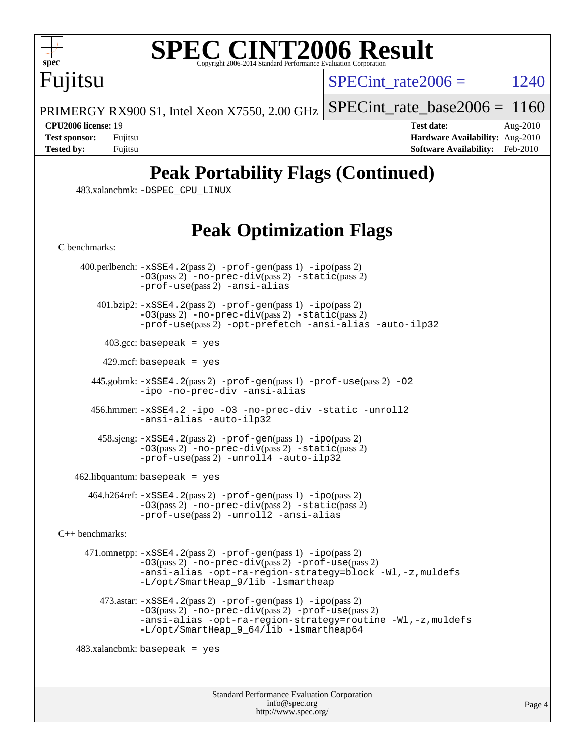

Fujitsu

SPECint rate  $2006 = 1240$ 

PRIMERGY RX900 S1, Intel Xeon X7550, 2.00 GHz [SPECint\\_rate\\_base2006 =](http://www.spec.org/auto/cpu2006/Docs/result-fields.html#SPECintratebase2006) 1160

**[CPU2006 license:](http://www.spec.org/auto/cpu2006/Docs/result-fields.html#CPU2006license)** 19 **[Test date:](http://www.spec.org/auto/cpu2006/Docs/result-fields.html#Testdate)** Aug-2010 **[Test sponsor:](http://www.spec.org/auto/cpu2006/Docs/result-fields.html#Testsponsor)** Fujitsu **[Hardware Availability:](http://www.spec.org/auto/cpu2006/Docs/result-fields.html#HardwareAvailability)** Aug-2010 **[Tested by:](http://www.spec.org/auto/cpu2006/Docs/result-fields.html#Testedby)** Fujitsu **Fugital Example 2010 [Software Availability:](http://www.spec.org/auto/cpu2006/Docs/result-fields.html#SoftwareAvailability)** Feb-2010

### **[Peak Portability Flags \(Continued\)](http://www.spec.org/auto/cpu2006/Docs/result-fields.html#PeakPortabilityFlags)**

483.xalancbmk: [-DSPEC\\_CPU\\_LINUX](http://www.spec.org/cpu2006/results/res2010q3/cpu2006-20100816-12920.flags.html#b483.xalancbmk_peakCXXPORTABILITY_DSPEC_CPU_LINUX)

## **[Peak Optimization Flags](http://www.spec.org/auto/cpu2006/Docs/result-fields.html#PeakOptimizationFlags)**

 400.perlbench: [-xSSE4.2](http://www.spec.org/cpu2006/results/res2010q3/cpu2006-20100816-12920.flags.html#user_peakPASS2_CFLAGSPASS2_LDCFLAGS400_perlbench_f-xSSE42_f91528193cf0b216347adb8b939d4107)(pass 2) [-prof-gen](http://www.spec.org/cpu2006/results/res2010q3/cpu2006-20100816-12920.flags.html#user_peakPASS1_CFLAGSPASS1_LDCFLAGS400_perlbench_prof_gen_e43856698f6ca7b7e442dfd80e94a8fc)(pass 1) [-ipo](http://www.spec.org/cpu2006/results/res2010q3/cpu2006-20100816-12920.flags.html#user_peakPASS2_CFLAGSPASS2_LDCFLAGS400_perlbench_f-ipo)(pass 2) [-O3](http://www.spec.org/cpu2006/results/res2010q3/cpu2006-20100816-12920.flags.html#user_peakPASS2_CFLAGSPASS2_LDCFLAGS400_perlbench_f-O3)(pass 2) [-no-prec-div](http://www.spec.org/cpu2006/results/res2010q3/cpu2006-20100816-12920.flags.html#user_peakPASS2_CFLAGSPASS2_LDCFLAGS400_perlbench_f-no-prec-div)(pass 2) [-static](http://www.spec.org/cpu2006/results/res2010q3/cpu2006-20100816-12920.flags.html#user_peakPASS2_CFLAGSPASS2_LDCFLAGS400_perlbench_f-static)(pass 2) [-prof-use](http://www.spec.org/cpu2006/results/res2010q3/cpu2006-20100816-12920.flags.html#user_peakPASS2_CFLAGSPASS2_LDCFLAGS400_perlbench_prof_use_bccf7792157ff70d64e32fe3e1250b55)(pass 2) [-ansi-alias](http://www.spec.org/cpu2006/results/res2010q3/cpu2006-20100816-12920.flags.html#user_peakCOPTIMIZE400_perlbench_f-ansi-alias)  $401.bzip2: -xSSE4.2(pass 2) -prof-gen(pass 1) -ipo(pass 2)$  $401.bzip2: -xSSE4.2(pass 2) -prof-gen(pass 1) -ipo(pass 2)$  $401.bzip2: -xSSE4.2(pass 2) -prof-gen(pass 1) -ipo(pass 2)$  $401.bzip2: -xSSE4.2(pass 2) -prof-gen(pass 1) -ipo(pass 2)$  $401.bzip2: -xSSE4.2(pass 2) -prof-gen(pass 1) -ipo(pass 2)$  $401.bzip2: -xSSE4.2(pass 2) -prof-gen(pass 1) -ipo(pass 2)$  $401.bzip2: -xSSE4.2(pass 2) -prof-gen(pass 1) -ipo(pass 2)$ [-O3](http://www.spec.org/cpu2006/results/res2010q3/cpu2006-20100816-12920.flags.html#user_peakPASS2_CFLAGSPASS2_LDCFLAGS401_bzip2_f-O3)(pass 2) [-no-prec-div](http://www.spec.org/cpu2006/results/res2010q3/cpu2006-20100816-12920.flags.html#user_peakPASS2_CFLAGSPASS2_LDCFLAGS401_bzip2_f-no-prec-div)(pass 2) [-static](http://www.spec.org/cpu2006/results/res2010q3/cpu2006-20100816-12920.flags.html#user_peakPASS2_CFLAGSPASS2_LDCFLAGS401_bzip2_f-static)(pass 2) [-prof-use](http://www.spec.org/cpu2006/results/res2010q3/cpu2006-20100816-12920.flags.html#user_peakPASS2_CFLAGSPASS2_LDCFLAGS401_bzip2_prof_use_bccf7792157ff70d64e32fe3e1250b55)(pass 2) [-opt-prefetch](http://www.spec.org/cpu2006/results/res2010q3/cpu2006-20100816-12920.flags.html#user_peakCOPTIMIZE401_bzip2_f-opt-prefetch) [-ansi-alias](http://www.spec.org/cpu2006/results/res2010q3/cpu2006-20100816-12920.flags.html#user_peakCOPTIMIZE401_bzip2_f-ansi-alias) [-auto-ilp32](http://www.spec.org/cpu2006/results/res2010q3/cpu2006-20100816-12920.flags.html#user_peakCOPTIMIZE401_bzip2_f-auto-ilp32)  $403.\text{gcc: basepeak}$  = yes  $429$ .mcf: basepeak = yes 445.gobmk: [-xSSE4.2](http://www.spec.org/cpu2006/results/res2010q3/cpu2006-20100816-12920.flags.html#user_peakPASS2_CFLAGSPASS2_LDCFLAGS445_gobmk_f-xSSE42_f91528193cf0b216347adb8b939d4107)(pass 2) [-prof-gen](http://www.spec.org/cpu2006/results/res2010q3/cpu2006-20100816-12920.flags.html#user_peakPASS1_CFLAGSPASS1_LDCFLAGS445_gobmk_prof_gen_e43856698f6ca7b7e442dfd80e94a8fc)(pass 1) [-prof-use](http://www.spec.org/cpu2006/results/res2010q3/cpu2006-20100816-12920.flags.html#user_peakPASS2_CFLAGSPASS2_LDCFLAGS445_gobmk_prof_use_bccf7792157ff70d64e32fe3e1250b55)(pass 2) [-O2](http://www.spec.org/cpu2006/results/res2010q3/cpu2006-20100816-12920.flags.html#user_peakCOPTIMIZE445_gobmk_f-O2) [-ipo](http://www.spec.org/cpu2006/results/res2010q3/cpu2006-20100816-12920.flags.html#user_peakCOPTIMIZE445_gobmk_f-ipo) [-no-prec-div](http://www.spec.org/cpu2006/results/res2010q3/cpu2006-20100816-12920.flags.html#user_peakCOPTIMIZE445_gobmk_f-no-prec-div) [-ansi-alias](http://www.spec.org/cpu2006/results/res2010q3/cpu2006-20100816-12920.flags.html#user_peakCOPTIMIZE445_gobmk_f-ansi-alias) 456.hmmer: [-xSSE4.2](http://www.spec.org/cpu2006/results/res2010q3/cpu2006-20100816-12920.flags.html#user_peakCOPTIMIZE456_hmmer_f-xSSE42_f91528193cf0b216347adb8b939d4107) [-ipo](http://www.spec.org/cpu2006/results/res2010q3/cpu2006-20100816-12920.flags.html#user_peakCOPTIMIZE456_hmmer_f-ipo) [-O3](http://www.spec.org/cpu2006/results/res2010q3/cpu2006-20100816-12920.flags.html#user_peakCOPTIMIZE456_hmmer_f-O3) [-no-prec-div](http://www.spec.org/cpu2006/results/res2010q3/cpu2006-20100816-12920.flags.html#user_peakCOPTIMIZE456_hmmer_f-no-prec-div) [-static](http://www.spec.org/cpu2006/results/res2010q3/cpu2006-20100816-12920.flags.html#user_peakCOPTIMIZE456_hmmer_f-static) [-unroll2](http://www.spec.org/cpu2006/results/res2010q3/cpu2006-20100816-12920.flags.html#user_peakCOPTIMIZE456_hmmer_f-unroll_784dae83bebfb236979b41d2422d7ec2) [-ansi-alias](http://www.spec.org/cpu2006/results/res2010q3/cpu2006-20100816-12920.flags.html#user_peakCOPTIMIZE456_hmmer_f-ansi-alias) [-auto-ilp32](http://www.spec.org/cpu2006/results/res2010q3/cpu2006-20100816-12920.flags.html#user_peakCOPTIMIZE456_hmmer_f-auto-ilp32) 458.sjeng: [-xSSE4.2](http://www.spec.org/cpu2006/results/res2010q3/cpu2006-20100816-12920.flags.html#user_peakPASS2_CFLAGSPASS2_LDCFLAGS458_sjeng_f-xSSE42_f91528193cf0b216347adb8b939d4107)(pass 2) [-prof-gen](http://www.spec.org/cpu2006/results/res2010q3/cpu2006-20100816-12920.flags.html#user_peakPASS1_CFLAGSPASS1_LDCFLAGS458_sjeng_prof_gen_e43856698f6ca7b7e442dfd80e94a8fc)(pass 1) [-ipo](http://www.spec.org/cpu2006/results/res2010q3/cpu2006-20100816-12920.flags.html#user_peakPASS2_CFLAGSPASS2_LDCFLAGS458_sjeng_f-ipo)(pass 2) [-O3](http://www.spec.org/cpu2006/results/res2010q3/cpu2006-20100816-12920.flags.html#user_peakPASS2_CFLAGSPASS2_LDCFLAGS458_sjeng_f-O3)(pass 2) [-no-prec-div](http://www.spec.org/cpu2006/results/res2010q3/cpu2006-20100816-12920.flags.html#user_peakPASS2_CFLAGSPASS2_LDCFLAGS458_sjeng_f-no-prec-div)(pass 2) [-static](http://www.spec.org/cpu2006/results/res2010q3/cpu2006-20100816-12920.flags.html#user_peakPASS2_CFLAGSPASS2_LDCFLAGS458_sjeng_f-static)(pass 2) [-prof-use](http://www.spec.org/cpu2006/results/res2010q3/cpu2006-20100816-12920.flags.html#user_peakPASS2_CFLAGSPASS2_LDCFLAGS458_sjeng_prof_use_bccf7792157ff70d64e32fe3e1250b55)(pass 2) [-unroll4](http://www.spec.org/cpu2006/results/res2010q3/cpu2006-20100816-12920.flags.html#user_peakCOPTIMIZE458_sjeng_f-unroll_4e5e4ed65b7fd20bdcd365bec371b81f) [-auto-ilp32](http://www.spec.org/cpu2006/results/res2010q3/cpu2006-20100816-12920.flags.html#user_peakCOPTIMIZE458_sjeng_f-auto-ilp32)  $462$ .libquantum: basepeak = yes  $464.h264$ ref:  $-xSSE4$ .  $2(pass 2)$  -prof-qen(pass 1) [-ipo](http://www.spec.org/cpu2006/results/res2010q3/cpu2006-20100816-12920.flags.html#user_peakPASS2_CFLAGSPASS2_LDCFLAGS464_h264ref_f-ipo)(pass 2) [-O3](http://www.spec.org/cpu2006/results/res2010q3/cpu2006-20100816-12920.flags.html#user_peakPASS2_CFLAGSPASS2_LDCFLAGS464_h264ref_f-O3)(pass 2) [-no-prec-div](http://www.spec.org/cpu2006/results/res2010q3/cpu2006-20100816-12920.flags.html#user_peakPASS2_CFLAGSPASS2_LDCFLAGS464_h264ref_f-no-prec-div)(pass 2) [-static](http://www.spec.org/cpu2006/results/res2010q3/cpu2006-20100816-12920.flags.html#user_peakPASS2_CFLAGSPASS2_LDCFLAGS464_h264ref_f-static)(pass 2) [-prof-use](http://www.spec.org/cpu2006/results/res2010q3/cpu2006-20100816-12920.flags.html#user_peakPASS2_CFLAGSPASS2_LDCFLAGS464_h264ref_prof_use_bccf7792157ff70d64e32fe3e1250b55)(pass 2) [-unroll2](http://www.spec.org/cpu2006/results/res2010q3/cpu2006-20100816-12920.flags.html#user_peakCOPTIMIZE464_h264ref_f-unroll_784dae83bebfb236979b41d2422d7ec2) [-ansi-alias](http://www.spec.org/cpu2006/results/res2010q3/cpu2006-20100816-12920.flags.html#user_peakCOPTIMIZE464_h264ref_f-ansi-alias) [C++ benchmarks:](http://www.spec.org/auto/cpu2006/Docs/result-fields.html#CXXbenchmarks) 471.omnetpp: [-xSSE4.2](http://www.spec.org/cpu2006/results/res2010q3/cpu2006-20100816-12920.flags.html#user_peakPASS2_CXXFLAGSPASS2_LDCXXFLAGS471_omnetpp_f-xSSE42_f91528193cf0b216347adb8b939d4107)(pass 2) [-prof-gen](http://www.spec.org/cpu2006/results/res2010q3/cpu2006-20100816-12920.flags.html#user_peakPASS1_CXXFLAGSPASS1_LDCXXFLAGS471_omnetpp_prof_gen_e43856698f6ca7b7e442dfd80e94a8fc)(pass 1) [-ipo](http://www.spec.org/cpu2006/results/res2010q3/cpu2006-20100816-12920.flags.html#user_peakPASS2_CXXFLAGSPASS2_LDCXXFLAGS471_omnetpp_f-ipo)(pass 2) [-O3](http://www.spec.org/cpu2006/results/res2010q3/cpu2006-20100816-12920.flags.html#user_peakPASS2_CXXFLAGSPASS2_LDCXXFLAGS471_omnetpp_f-O3)(pass 2) [-no-prec-div](http://www.spec.org/cpu2006/results/res2010q3/cpu2006-20100816-12920.flags.html#user_peakPASS2_CXXFLAGSPASS2_LDCXXFLAGS471_omnetpp_f-no-prec-div)(pass 2) [-prof-use](http://www.spec.org/cpu2006/results/res2010q3/cpu2006-20100816-12920.flags.html#user_peakPASS2_CXXFLAGSPASS2_LDCXXFLAGS471_omnetpp_prof_use_bccf7792157ff70d64e32fe3e1250b55)(pass 2) [-ansi-alias](http://www.spec.org/cpu2006/results/res2010q3/cpu2006-20100816-12920.flags.html#user_peakCXXOPTIMIZE471_omnetpp_f-ansi-alias) [-opt-ra-region-strategy=block](http://www.spec.org/cpu2006/results/res2010q3/cpu2006-20100816-12920.flags.html#user_peakCXXOPTIMIZE471_omnetpp_f-opt-ra-region-strategy-block_a0a37c372d03933b2a18d4af463c1f69) [-Wl,-z,muldefs](http://www.spec.org/cpu2006/results/res2010q3/cpu2006-20100816-12920.flags.html#user_peakEXTRA_LDFLAGS471_omnetpp_link_force_multiple1_74079c344b956b9658436fd1b6dd3a8a) [-L/opt/SmartHeap\\_9/lib -lsmartheap](http://www.spec.org/cpu2006/results/res2010q3/cpu2006-20100816-12920.flags.html#user_peakEXTRA_LIBS471_omnetpp_SmartHeap_879e13b2ebf5e86ce2253467cfb99a3f) 473.astar: [-xSSE4.2](http://www.spec.org/cpu2006/results/res2010q3/cpu2006-20100816-12920.flags.html#user_peakPASS2_CXXFLAGSPASS2_LDCXXFLAGS473_astar_f-xSSE42_f91528193cf0b216347adb8b939d4107)(pass 2) [-prof-gen](http://www.spec.org/cpu2006/results/res2010q3/cpu2006-20100816-12920.flags.html#user_peakPASS1_CXXFLAGSPASS1_LDCXXFLAGS473_astar_prof_gen_e43856698f6ca7b7e442dfd80e94a8fc)(pass 1) [-ipo](http://www.spec.org/cpu2006/results/res2010q3/cpu2006-20100816-12920.flags.html#user_peakPASS2_CXXFLAGSPASS2_LDCXXFLAGS473_astar_f-ipo)(pass 2) [-O3](http://www.spec.org/cpu2006/results/res2010q3/cpu2006-20100816-12920.flags.html#user_peakPASS2_CXXFLAGSPASS2_LDCXXFLAGS473_astar_f-O3)(pass 2) [-no-prec-div](http://www.spec.org/cpu2006/results/res2010q3/cpu2006-20100816-12920.flags.html#user_peakPASS2_CXXFLAGSPASS2_LDCXXFLAGS473_astar_f-no-prec-div)(pass 2) [-prof-use](http://www.spec.org/cpu2006/results/res2010q3/cpu2006-20100816-12920.flags.html#user_peakPASS2_CXXFLAGSPASS2_LDCXXFLAGS473_astar_prof_use_bccf7792157ff70d64e32fe3e1250b55)(pass 2) [-ansi-alias](http://www.spec.org/cpu2006/results/res2010q3/cpu2006-20100816-12920.flags.html#user_peakCXXOPTIMIZE473_astar_f-ansi-alias) [-opt-ra-region-strategy=routine](http://www.spec.org/cpu2006/results/res2010q3/cpu2006-20100816-12920.flags.html#user_peakCXXOPTIMIZE473_astar_f-opt-ra-region-strategy-routine_ba086ea3b1d46a52e1238e2ca173ed44) [-Wl,-z,muldefs](http://www.spec.org/cpu2006/results/res2010q3/cpu2006-20100816-12920.flags.html#user_peakEXTRA_LDFLAGS473_astar_link_force_multiple1_74079c344b956b9658436fd1b6dd3a8a) [-L/opt/SmartHeap\\_9\\_64/lib -lsmartheap64](http://www.spec.org/cpu2006/results/res2010q3/cpu2006-20100816-12920.flags.html#user_peakEXTRA_LIBS473_astar_SmartHeap64_52bae96eb24ebf89a69283ab391c5ae2)  $483.xalanchmk: basepeak = yes$ 

> Standard Performance Evaluation Corporation [info@spec.org](mailto:info@spec.org) <http://www.spec.org/>